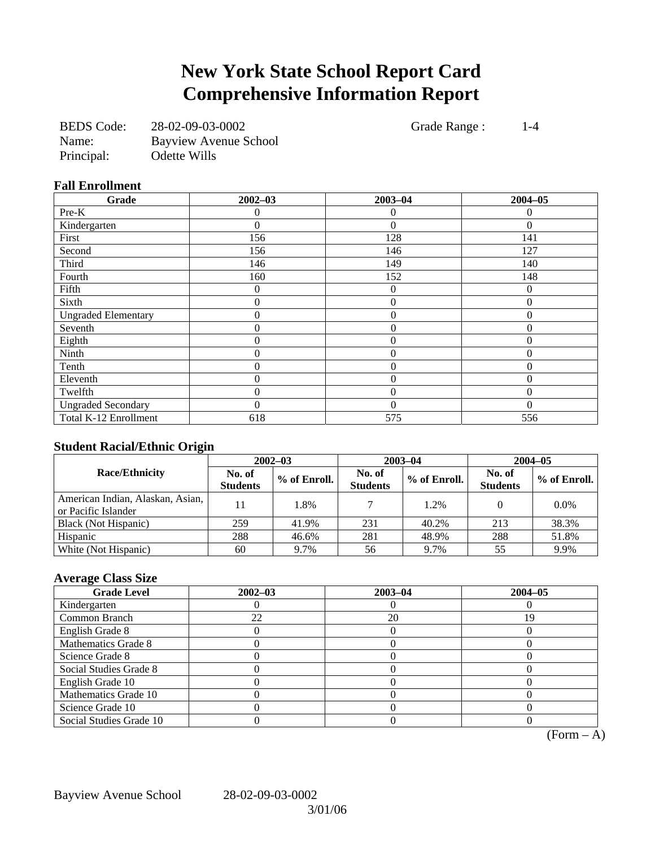# **New York State School Report Card Comprehensive Information Report**

| <b>BEDS</b> Code: | 28-02-09-03-0002      |
|-------------------|-----------------------|
| Name:             | Bayview Avenue School |
| Principal:        | Odette Wills          |

Grade Range : 1-4

#### **Fall Enrollment**

| Grade                      | $2002 - 03$      | $2003 - 04$    | $2004 - 05$ |
|----------------------------|------------------|----------------|-------------|
| Pre-K                      |                  | $\Omega$       |             |
| Kindergarten               | 0                | $\theta$       | $\Omega$    |
| First                      | 156              | 128            | 141         |
| Second                     | 156              | 146            | 127         |
| Third                      | 146              | 149            | 140         |
| Fourth                     | 160              | 152            | 148         |
| Fifth                      | $\theta$         | $\theta$       | $\Omega$    |
| Sixth                      | 0                | $\overline{0}$ | $\theta$    |
| <b>Ungraded Elementary</b> | 0                | $\theta$       | $\Omega$    |
| Seventh                    | $\boldsymbol{0}$ | $\overline{0}$ | $\theta$    |
| Eighth                     | 0                | $\overline{0}$ | $\Omega$    |
| Ninth                      | 0                | $\overline{0}$ | $\Omega$    |
| Tenth                      | $\theta$         | $\theta$       | $\Omega$    |
| Eleventh                   | $\theta$         | $\theta$       | $\Omega$    |
| Twelfth                    | 0                | $\theta$       | $\Omega$    |
| <b>Ungraded Secondary</b>  | 0                | $\Omega$       | $\Omega$    |
| Total K-12 Enrollment      | 618              | 575            | 556         |

### **Student Racial/Ethnic Origin**

|                                                         | $2002 - 03$               |              | $2003 - 04$               |              | $2004 - 05$               |              |
|---------------------------------------------------------|---------------------------|--------------|---------------------------|--------------|---------------------------|--------------|
| <b>Race/Ethnicity</b>                                   | No. of<br><b>Students</b> | % of Enroll. | No. of<br><b>Students</b> | % of Enroll. | No. of<br><b>Students</b> | % of Enroll. |
| American Indian, Alaskan, Asian,<br>or Pacific Islander |                           | 1.8%         |                           | 1.2%         |                           | $0.0\%$      |
| Black (Not Hispanic)                                    | 259                       | 41.9%        | 231                       | 40.2%        | 213                       | 38.3%        |
| Hispanic                                                | 288                       | 46.6%        | 281                       | 48.9%        | 288                       | 51.8%        |
| White (Not Hispanic)                                    | 60                        | 9.7%         | 56                        | 9.7%         | 55                        | 9.9%         |

## **Average Class Size**

| <b>Grade Level</b>      | $2002 - 03$ | $2003 - 04$ | $2004 - 05$ |
|-------------------------|-------------|-------------|-------------|
| Kindergarten            |             |             |             |
| Common Branch           | 22          | 20          | ۱9          |
| English Grade 8         |             |             |             |
| Mathematics Grade 8     |             |             |             |
| Science Grade 8         |             |             |             |
| Social Studies Grade 8  |             |             |             |
| English Grade 10        |             |             |             |
| Mathematics Grade 10    |             |             |             |
| Science Grade 10        |             |             |             |
| Social Studies Grade 10 |             |             |             |

 $(Form - A)$ 

Bayview Avenue School 28-02-09-03-0002

3/01/06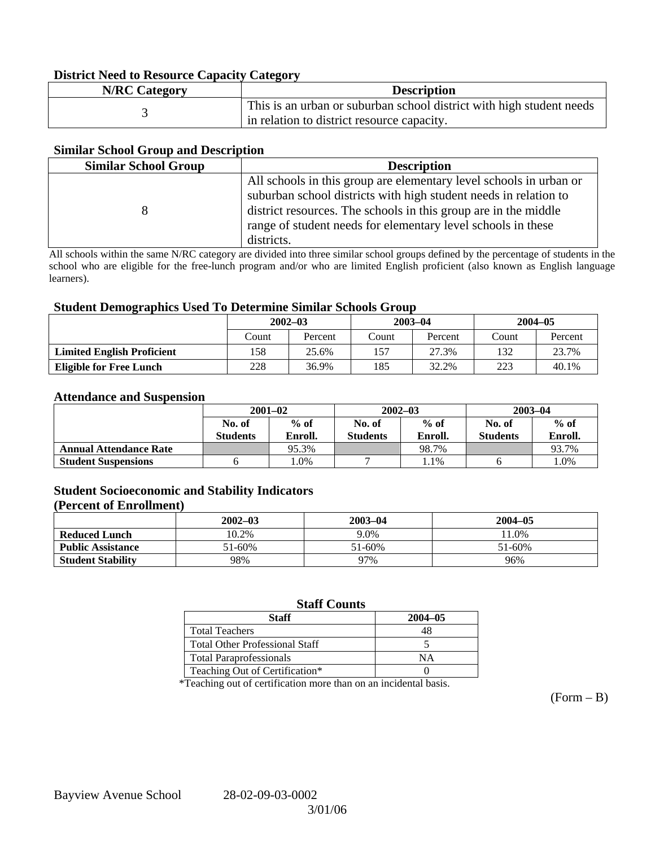#### **District Need to Resource Capacity Category**

| <b>N/RC Category</b> | <b>Description</b>                                                   |
|----------------------|----------------------------------------------------------------------|
|                      | This is an urban or suburban school district with high student needs |
|                      | in relation to district resource capacity.                           |

#### **Similar School Group and Description**

| <b>Similar School Group</b> | <b>Description</b>                                                                                                                     |
|-----------------------------|----------------------------------------------------------------------------------------------------------------------------------------|
|                             | All schools in this group are elementary level schools in urban or<br>suburban school districts with high student needs in relation to |
|                             | district resources. The schools in this group are in the middle                                                                        |
|                             | range of student needs for elementary level schools in these                                                                           |
|                             | districts.                                                                                                                             |

All schools within the same N/RC category are divided into three similar school groups defined by the percentage of students in the school who are eligible for the free-lunch program and/or who are limited English proficient (also known as English language learners).

#### **Student Demographics Used To Determine Similar Schools Group**

|                                   | $2002 - 03$ |         | $2003 - 04$ |         | $2004 - 05$ |         |
|-----------------------------------|-------------|---------|-------------|---------|-------------|---------|
|                                   | Count       | Percent | Count       | Percent | Count       | Percent |
| <b>Limited English Proficient</b> | 158         | 25.6%   | 157         | 27.3%   | 132         | 23.7%   |
| <b>Eligible for Free Lunch</b>    | 228         | 36.9%   | 185         | 32.2%   | 223         | 40.1%   |

#### **Attendance and Suspension**

|                               | $2001 - 02$      |         | $2002 - 03$      |         | $2003 - 04$      |         |
|-------------------------------|------------------|---------|------------------|---------|------------------|---------|
|                               | $%$ of<br>No. of |         | $%$ of<br>No. of |         | $%$ of<br>No. of |         |
|                               | <b>Students</b>  | Enroll. | Students         | Enroll. | <b>Students</b>  | Enroll. |
| <b>Annual Attendance Rate</b> |                  | 95.3%   |                  | 98.7%   |                  | 93.7%   |
| <b>Student Suspensions</b>    |                  | $.0\%$  |                  | 1.1%    |                  | 1.0%    |

#### **Student Socioeconomic and Stability Indicators (Percent of Enrollment)**

|                          | $2002 - 03$ | 2003-04 | $2004 - 05$ |
|--------------------------|-------------|---------|-------------|
| <b>Reduced Lunch</b>     | 10.2%       | 9.0%    | $1.0\%$     |
| <b>Public Assistance</b> | 51-60%      | 51-60%  | 51-60%      |
| <b>Student Stability</b> | 98%         | 97%     | 96%         |

#### **Staff Counts**

| Staff                                 | $2004 - 05$ |
|---------------------------------------|-------------|
| <b>Total Teachers</b>                 |             |
| <b>Total Other Professional Staff</b> |             |
| <b>Total Paraprofessionals</b>        | NΑ          |
| Teaching Out of Certification*        |             |

\*Teaching out of certification more than on an incidental basis.

 $(Form - B)$